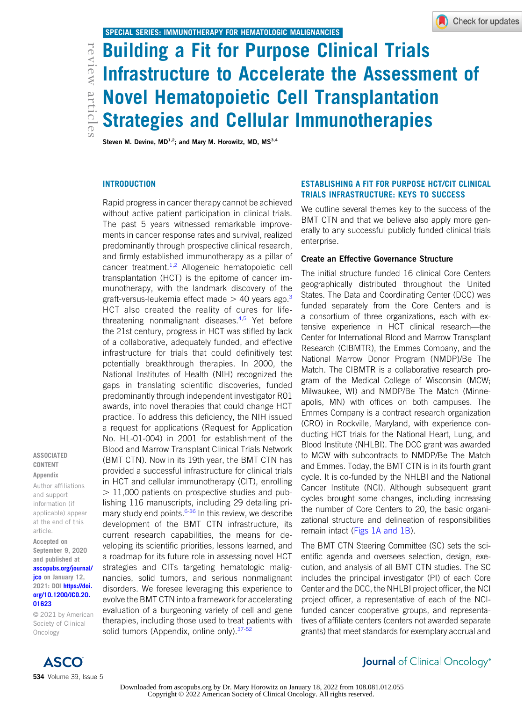# articles Building a Fit for Purpose Clinical Trials<br>articles Infrastructure to Accelerate the Assessm<br>articles Movel Hematopoietic Cell Transplantatio<br>articles and Cellular Immunotherapies Infrastructure to Accelerate the Assessment of Novel Hematopoietic Cell Transplantation Strategies and Cellular Immunotherapies

Steven M. Devine,  $MD^{1,2}$ ; and Mary M. Horowitz, MD, MS<sup>3,4</sup>

#### **INTRODUCTION**

Rapid progress in cancer therapy cannot be achieved without active patient participation in clinical trials. The past 5 years witnessed remarkable improvements in cancer response rates and survival, realized predominantly through prospective clinical research, and firmly established immunotherapy as a pillar of cancer treatment.<sup>1,2</sup> Allogeneic hematopoietic cell transplantation (HCT) is the epitome of cancer immunotherapy, with the landmark discovery of the graft-versus-leukemia effect made  $>$  40 years ago.<sup>3</sup> HCT also created the reality of cures for lifethreatening nonmalignant diseases.<sup>4,5</sup> Yet before the 21st century, progress in HCT was stifled by lack of a collaborative, adequately funded, and effective infrastructure for trials that could definitively test potentially breakthrough therapies. In 2000, the National Institutes of Health (NIH) recognized the gaps in translating scientific discoveries, funded predominantly through independent investigator R01 awards, into novel therapies that could change HCT practice. To address this deficiency, the NIH issued a request for applications (Request for Application No. HL-01-004) in 2001 for establishment of the Blood and Marrow Transplant Clinical Trials Network (BMT CTN). Now in its 19th year, the BMT CTN has provided a successful infrastructure for clinical trials in HCT and cellular immunotherapy (CIT), enrolling  $> 11,000$  patients on prospective studies and publishing 116 manuscripts, including 29 detailing primary study end points.<sup>6-36</sup> In this review, we describe development of the BMT CTN infrastructure, its current research capabilities, the means for developing its scientific priorities, lessons learned, and a roadmap for its future role in assessing novel HCT strategies and CITs targeting hematologic malignancies, solid tumors, and serious nonmalignant disorders. We foresee leveraging this experience to evolve the BMT CTN into a framework for accelerating evaluation of a burgeoning variety of cell and gene therapies, including those used to treat patients with solid tumors (Appendix, online only).<sup>37-52</sup>

# ESTABLISHING A FIT FOR PURPOSE HCT/CIT CLINICAL TRIALS INFRASTRUCTURE: KEYS TO SUCCESS

We outline several themes key to the success of the BMT CTN and that we believe also apply more generally to any successful publicly funded clinical trials enterprise.

#### Create an Effective Governance Structure

The initial structure funded 16 clinical Core Centers geographically distributed throughout the United States. The Data and Coordinating Center (DCC) was funded separately from the Core Centers and is a consortium of three organizations, each with extensive experience in HCT clinical research—the Center for International Blood and Marrow Transplant Research (CIBMTR), the Emmes Company, and the National Marrow Donor Program (NMDP)/Be The Match. The CIBMTR is a collaborative research program of the Medical College of Wisconsin (MCW; Milwaukee, WI) and NMDP/Be The Match (Minneapolis, MN) with offices on both campuses. The Emmes Company is a contract research organization (CRO) in Rockville, Maryland, with experience conducting HCT trials for the National Heart, Lung, and Blood Institute (NHLBI). The DCC grant was awarded to MCW with subcontracts to NMDP/Be The Match and Emmes. Today, the BMT CTN is in its fourth grant cycle. It is co-funded by the NHLBI and the National Cancer Institute (NCI). Although subsequent grant cycles brought some changes, including increasing the number of Core Centers to 20, the basic organizational structure and delineation of responsibilities remain intact (Figs 1A and 1B).

The BMT CTN Steering Committee (SC) sets the scientific agenda and oversees selection, design, execution, and analysis of all BMT CTN studies. The SC includes the principal investigator (PI) of each Core Center and the DCC, the NHLBI project officer, the NCI project officer, a representative of each of the NCIfunded cancer cooperative groups, and representatives of affiliate centers (centers not awarded separate grants) that meet standards for exemplary accrual and

ASSOCIATED CONTENT Appendix

Author affiliations and support information (if applicable) appear at the end of this article.

Accepted on September 9, 2020 and published at

ascopubs.org/journal/ jco on January 12, 2021: DOI https://doi. org/10.1200/JCO.20. 01623

© 2021 by American Society of Clinical Oncology



# **Journal** of Clinical Oncology<sup>®</sup>

Downloaded from ascopubs.org by Dr. Mary Horowitz on January 18, 2022 from 108.081.012.055 Copyright © 2022 American Society of Clinical Oncology. All rights reserved.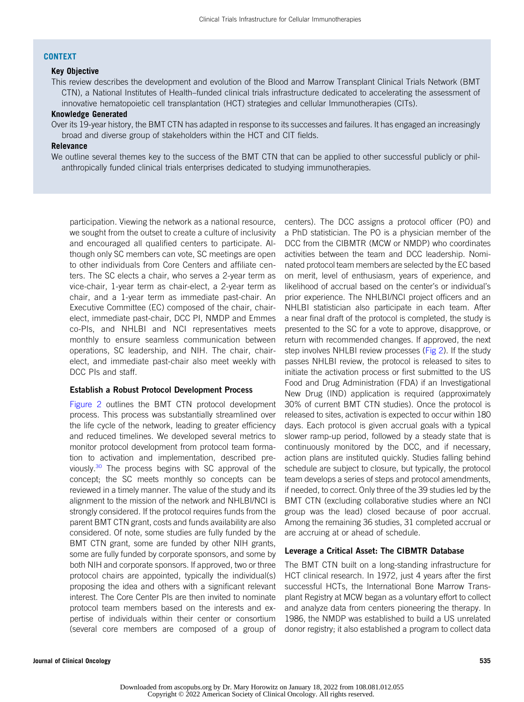#### CONTEXT

# Key Objective

This review describes the development and evolution of the Blood and Marrow Transplant Clinical Trials Network (BMT CTN), a National Institutes of Health–funded clinical trials infrastructure dedicated to accelerating the assessment of innovative hematopoietic cell transplantation (HCT) strategies and cellular Immunotherapies (CITs).

#### Knowledge Generated

Over its 19-year history, the BMT CTN has adapted in response to its successes and failures. It has engaged an increasingly broad and diverse group of stakeholders within the HCT and CIT fields.

## Relevance

We outline several themes key to the success of the BMT CTN that can be applied to other successful publicly or philanthropically funded clinical trials enterprises dedicated to studying immunotherapies.

participation. Viewing the network as a national resource, we sought from the outset to create a culture of inclusivity and encouraged all qualified centers to participate. Although only SC members can vote, SC meetings are open to other individuals from Core Centers and affiliate centers. The SC elects a chair, who serves a 2-year term as vice-chair, 1-year term as chair-elect, a 2-year term as chair, and a 1-year term as immediate past-chair. An Executive Committee (EC) composed of the chair, chairelect, immediate past-chair, DCC PI, NMDP and Emmes co-PIs, and NHLBI and NCI representatives meets monthly to ensure seamless communication between operations, SC leadership, and NIH. The chair, chairelect, and immediate past-chair also meet weekly with DCC PIs and staff.

#### Establish a Robust Protocol Development Process

Figure 2 outlines the BMT CTN protocol development process. This process was substantially streamlined over the life cycle of the network, leading to greater efficiency and reduced timelines. We developed several metrics to monitor protocol development from protocol team formation to activation and implementation, described previously.<sup>30</sup> The process begins with SC approval of the concept; the SC meets monthly so concepts can be reviewed in a timely manner. The value of the study and its alignment to the mission of the network and NHLBI/NCI is strongly considered. If the protocol requires funds from the parent BMT CTN grant, costs and funds availability are also considered. Of note, some studies are fully funded by the BMT CTN grant, some are funded by other NIH grants, some are fully funded by corporate sponsors, and some by both NIH and corporate sponsors. If approved, two or three protocol chairs are appointed, typically the individual(s) proposing the idea and others with a significant relevant interest. The Core Center PIs are then invited to nominate protocol team members based on the interests and expertise of individuals within their center or consortium (several core members are composed of a group of

centers). The DCC assigns a protocol officer (PO) and a PhD statistician. The PO is a physician member of the DCC from the CIBMTR (MCW or NMDP) who coordinates activities between the team and DCC leadership. Nominated protocol team members are selected by the EC based on merit, level of enthusiasm, years of experience, and likelihood of accrual based on the center's or individual's prior experience. The NHLBI/NCI project officers and an NHLBI statistician also participate in each team. After a near final draft of the protocol is completed, the study is presented to the SC for a vote to approve, disapprove, or return with recommended changes. If approved, the next step involves NHLBI review processes (Fig 2). If the study passes NHLBI review, the protocol is released to sites to initiate the activation process or first submitted to the US Food and Drug Administration (FDA) if an Investigational New Drug (IND) application is required (approximately 30% of current BMT CTN studies). Once the protocol is released to sites, activation is expected to occur within 180 days. Each protocol is given accrual goals with a typical slower ramp-up period, followed by a steady state that is continuously monitored by the DCC, and if necessary, action plans are instituted quickly. Studies falling behind schedule are subject to closure, but typically, the protocol team develops a series of steps and protocol amendments, if needed, to correct. Only three of the 39 studies led by the BMT CTN (excluding collaborative studies where an NCI group was the lead) closed because of poor accrual. Among the remaining 36 studies, 31 completed accrual or are accruing at or ahead of schedule.

## Leverage a Critical Asset: The CIBMTR Database

The BMT CTN built on a long-standing infrastructure for HCT clinical research. In 1972, just 4 years after the first successful HCTs, the International Bone Marrow Transplant Registry at MCW began as a voluntary effort to collect and analyze data from centers pioneering the therapy. In 1986, the NMDP was established to build a US unrelated donor registry; it also established a program to collect data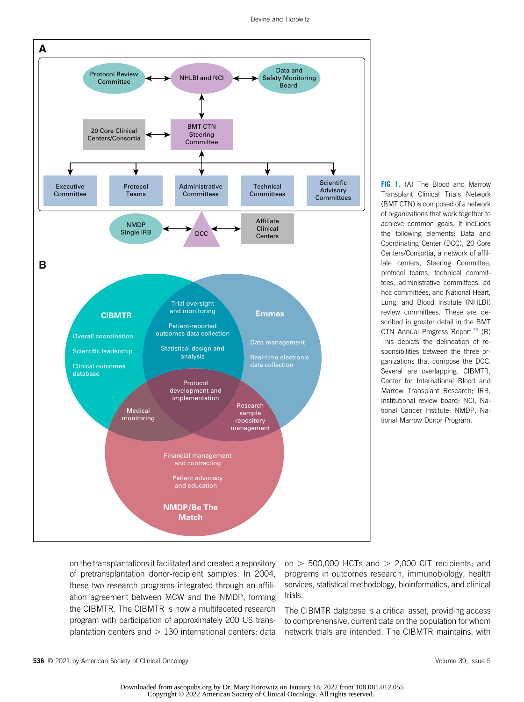

FIG 1. (A) The Blood and Marrow Transplant Clinical Trials Network (BMT CTN) is composed of a network of organizations that work together to achieve common goals. It includes the following elements: Data and Coordinating Center (DCC), 20 Core Centers/Consortia, a network of affiliate centers, Steering Committee, protocol teams, technical committees, administrative committees, ad hoc committees, and National Heart, Lung, and Blood Institute (NHLBI) review committees. These are described in greater detail in the BMT CTN Annual Progress Report.<sup>36</sup> (B) This depicts the delineation of responsibilities between the three organizations that compose the DCC. Several are overlapping. CIBMTR, Center for International Blood and Marrow Transplant Research; IRB, institutional review board; NCI, National Cancer Institute; NMDP, National Marrow Donor Program.

on the transplantations it facilitated and created a repository of pretransplantation donor-recipient samples. In 2004, these two research programs integrated through an affiliation agreement between MCW and the NMDP, forming the CIBMTR. The CIBMTR is now a multifaceted research program with participation of approximately 200 US transplantation centers and  $> 130$  international centers; data on  $>$  500,000 HCTs and  $>$  2,000 CIT recipients; and programs in outcomes research, immunobiology, health services, statistical methodology, bioinformatics, and clinical trials.

The CIBMTR database is a critical asset, providing access to comprehensive, current data on the population for whom network trials are intended. The CIBMTR maintains, with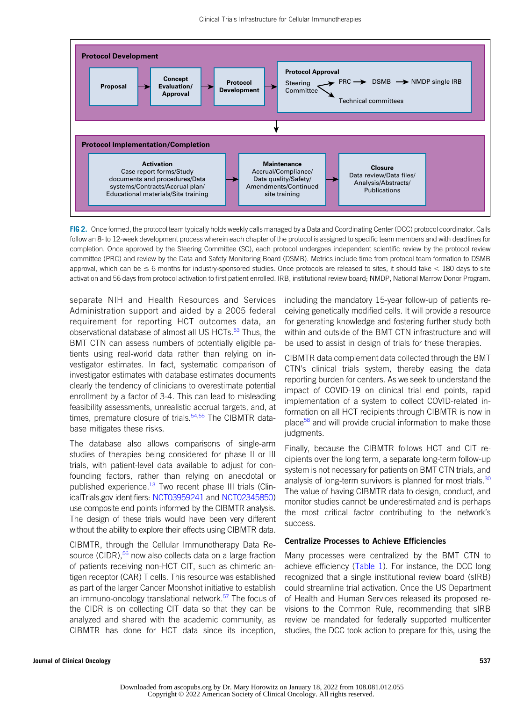

FIG 2. Once formed, the protocol team typically holds weekly calls managed by a Data and Coordinating Center (DCC) protocol coordinator. Calls follow an 8- to 12-week development process wherein each chapter of the protocol is assigned to specific team members and with deadlines for completion. Once approved by the Steering Committee (SC), each protocol undergoes independent scientific review by the protocol review committee (PRC) and review by the Data and Safety Monitoring Board (DSMB). Metrics include time from protocol team formation to DSMB approval, which can be  $\leq 6$  months for industry-sponsored studies. Once protocols are released to sites, it should take  $< 180$  days to site activation and 56 days from protocol activation to first patient enrolled. IRB, institutional review board; NMDP, National Marrow Donor Program.

separate NIH and Health Resources and Services Administration support and aided by a 2005 federal requirement for reporting HCT outcomes data, an observational database of almost all US HCTs.<sup>53</sup> Thus, the BMT CTN can assess numbers of potentially eligible patients using real-world data rather than relying on investigator estimates. In fact, systematic comparison of investigator estimates with database estimates documents clearly the tendency of clinicians to overestimate potential enrollment by a factor of 3-4. This can lead to misleading feasibility assessments, unrealistic accrual targets, and, at times, premature closure of trials. $54,55$  The CIBMTR database mitigates these risks.

The database also allows comparisons of single-arm studies of therapies being considered for phase II or III trials, with patient-level data available to adjust for confounding factors, rather than relying on anecdotal or published experience.<sup>13</sup> Two recent phase III trials (ClinicalTrials.gov identifiers: NCT03959241 and NCT02345850) use composite end points informed by the CIBMTR analysis. The design of these trials would have been very different without the ability to explore their effects using CIBMTR data.

CIBMTR, through the Cellular Immunotherapy Data Resource (CIDR),<sup>56</sup> now also collects data on a large fraction of patients receiving non-HCT CIT, such as chimeric antigen receptor (CAR) T cells. This resource was established as part of the larger Cancer Moonshot initiative to establish an immuno-oncology translational network.<sup>57</sup> The focus of the CIDR is on collecting CIT data so that they can be analyzed and shared with the academic community, as CIBMTR has done for HCT data since its inception, including the mandatory 15-year follow-up of patients receiving genetically modified cells. It will provide a resource for generating knowledge and fostering further study both within and outside of the BMT CTN infrastructure and will be used to assist in design of trials for these therapies.

CIBMTR data complement data collected through the BMT CTN's clinical trials system, thereby easing the data reporting burden for centers. As we seek to understand the impact of COVID-19 on clinical trial end points, rapid implementation of a system to collect COVID-related information on all HCT recipients through CIBMTR is now in place<sup>58</sup> and will provide crucial information to make those judgments.

Finally, because the CIBMTR follows HCT and CIT recipients over the long term, a separate long-term follow-up system is not necessary for patients on BMT CTN trials, and analysis of long-term survivors is planned for most trials.<sup>30</sup> The value of having CIBMTR data to design, conduct, and monitor studies cannot be underestimated and is perhaps the most critical factor contributing to the network's success.

#### Centralize Processes to Achieve Efficiencies

Many processes were centralized by the BMT CTN to achieve efficiency (Table 1). For instance, the DCC long recognized that a single institutional review board (sIRB) could streamline trial activation. Once the US Department of Health and Human Services released its proposed revisions to the Common Rule, recommending that sIRB review be mandated for federally supported multicenter studies, the DCC took action to prepare for this, using the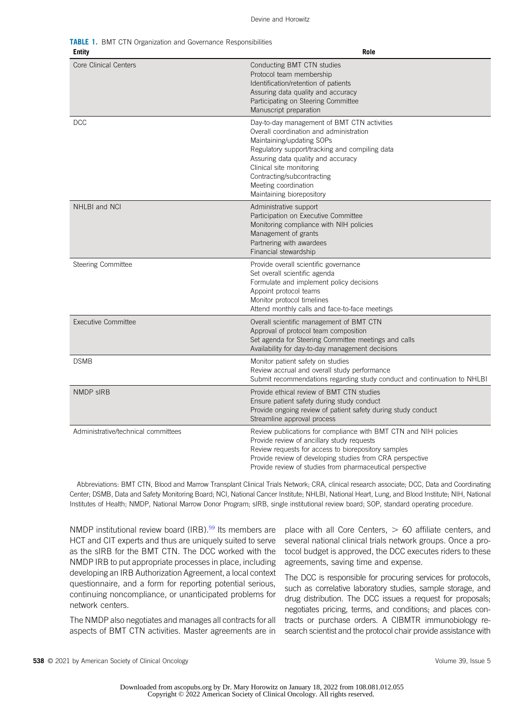**TABLE 1. BMT CTN Organization and Governance Responsibilities** 

| <b>Entity</b>                       | Role                                                                                                                                                                                                                                                                                                                       |
|-------------------------------------|----------------------------------------------------------------------------------------------------------------------------------------------------------------------------------------------------------------------------------------------------------------------------------------------------------------------------|
| Core Clinical Centers               | Conducting BMT CTN studies<br>Protocol team membership<br>Identification/retention of patients<br>Assuring data quality and accuracy<br>Participating on Steering Committee<br>Manuscript preparation                                                                                                                      |
| <b>DCC</b>                          | Day-to-day management of BMT CTN activities<br>Overall coordination and administration<br>Maintaining/updating SOPs<br>Regulatory support/tracking and compiling data<br>Assuring data quality and accuracy<br>Clinical site monitoring<br>Contracting/subcontracting<br>Meeting coordination<br>Maintaining biorepository |
| NHLBI and NCI                       | Administrative support<br>Participation on Executive Committee<br>Monitoring compliance with NIH policies<br>Management of grants<br>Partnering with awardees<br>Financial stewardship                                                                                                                                     |
| Steering Committee                  | Provide overall scientific governance<br>Set overall scientific agenda<br>Formulate and implement policy decisions<br>Appoint protocol teams<br>Monitor protocol timelines<br>Attend monthly calls and face-to-face meetings                                                                                               |
| <b>Executive Committee</b>          | Overall scientific management of BMT CTN<br>Approval of protocol team composition<br>Set agenda for Steering Committee meetings and calls<br>Availability for day-to-day management decisions                                                                                                                              |
| <b>DSMB</b>                         | Monitor patient safety on studies<br>Review accrual and overall study performance<br>Submit recommendations regarding study conduct and continuation to NHLBI                                                                                                                                                              |
| <b>NMDP sIRB</b>                    | Provide ethical review of BMT CTN studies<br>Ensure patient safety during study conduct<br>Provide ongoing review of patient safety during study conduct<br>Streamline approval process                                                                                                                                    |
| Administrative/technical committees | Review publications for compliance with BMT CTN and NIH policies<br>Provide review of ancillary study requests<br>Review requests for access to biorepository samples<br>Provide review of developing studies from CRA perspective<br>Provide review of studies from pharmaceutical perspective                            |

Abbreviations: BMT CTN, Blood and Marrow Transplant Clinical Trials Network; CRA, clinical research associate; DCC, Data and Coordinating Center; DSMB, Data and Safety Monitoring Board; NCI, National Cancer Institute; NHLBI, National Heart, Lung, and Blood Institute; NIH, National Institutes of Health; NMDP, National Marrow Donor Program; sIRB, single institutional review board; SOP, standard operating procedure.

NMDP institutional review board (IRB).<sup>59</sup> Its members are HCT and CIT experts and thus are uniquely suited to serve as the sIRB for the BMT CTN. The DCC worked with the NMDP IRB to put appropriate processes in place, including developing an IRB Authorization Agreement, a local context questionnaire, and a form for reporting potential serious, continuing noncompliance, or unanticipated problems for network centers.

The NMDP also negotiates and manages all contracts for all aspects of BMT CTN activities. Master agreements are in place with all Core Centers,  $> 60$  affiliate centers, and several national clinical trials network groups. Once a protocol budget is approved, the DCC executes riders to these agreements, saving time and expense.

The DCC is responsible for procuring services for protocols, such as correlative laboratory studies, sample storage, and drug distribution. The DCC issues a request for proposals; negotiates pricing, terms, and conditions; and places contracts or purchase orders. A CIBMTR immunobiology research scientist and the protocol chair provide assistance with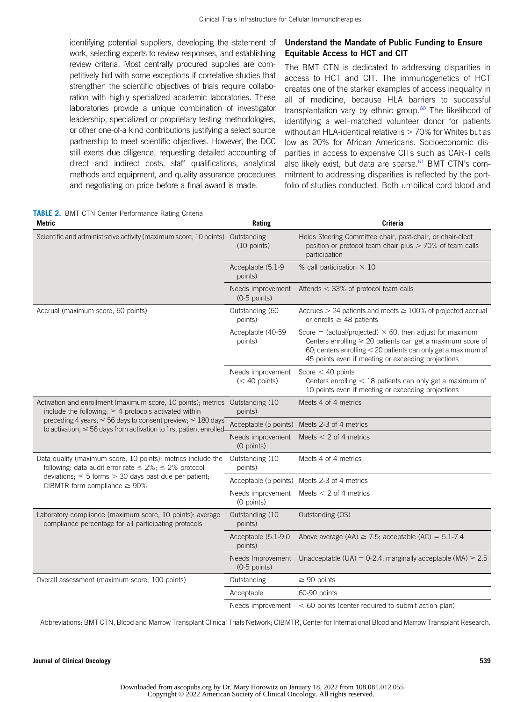identifying potential suppliers, developing the statement of work, selecting experts to review responses, and establishing review criteria. Most centrally procured supplies are competitively bid with some exceptions if correlative studies that strengthen the scientific objectives of trials require collaboration with highly specialized academic laboratories. These laboratories provide a unique combination of investigator leadership, specialized or proprietary testing methodologies, or other one-of-a kind contributions justifying a select source partnership to meet scientific objectives. However, the DCC still exerts due diligence, requesting detailed accounting of direct and indirect costs, staff qualifications, analytical methods and equipment, and quality assurance procedures and negotiating on price before a final award is made.

# Understand the Mandate of Public Funding to Ensure Equitable Access to HCT and CIT

The BMT CTN is dedicated to addressing disparities in access to HCT and CIT. The immunogenetics of HCT creates one of the starker examples of access inequality in all of medicine, because HLA barriers to successful transplantation vary by ethnic group.<sup>60</sup> The likelihood of identifying a well-matched volunteer donor for patients without an HLA-identical relative is  $> 70\%$  for Whites but as low as 20% for African Americans. Socioeconomic disparities in access to expensive CITs such as CAR-T cells also likely exist, but data are sparse.<sup>61</sup> BMT CTN's commitment to addressing disparities is reflected by the portfolio of studies conducted. Both umbilical cord blood and

| TABLE 2. BMT CTN Center Performance Rating Criteria<br>Metric                                                                                     | Rating                               | Criteria                                                                                                                                                                                                                                                    |  |
|---------------------------------------------------------------------------------------------------------------------------------------------------|--------------------------------------|-------------------------------------------------------------------------------------------------------------------------------------------------------------------------------------------------------------------------------------------------------------|--|
| Scientific and administrative activity (maximum score, 10 points)                                                                                 | Outstanding<br>$(10$ points)         | Holds Steering Committee chair, past-chair, or chair-elect<br>position or protocol team chair plus > 70% of team calls<br>participation                                                                                                                     |  |
|                                                                                                                                                   | Acceptable (5.1-9<br>points)         | % call participation $\times$ 10                                                                                                                                                                                                                            |  |
|                                                                                                                                                   | Needs improvement<br>$(0-5$ points)  | Attends $<$ 33% of protocol team calls                                                                                                                                                                                                                      |  |
| Accrual (maximum score, 60 points)                                                                                                                | Outstanding (60<br>points)           | Accrues $>$ 24 patients and meets $\geq$ 100% of projected accrual<br>or enrolls $\geq$ 48 patients                                                                                                                                                         |  |
|                                                                                                                                                   | Acceptable (40-59<br>points)         | Score = (actual/projected) $\times$ 60, then adjust for maximum<br>Centers enrolling $\geq 20$ patients can get a maximum score of<br>60; centers enrolling $<$ 20 patients can only get a maximum of<br>45 points even if meeting or exceeding projections |  |
|                                                                                                                                                   | Needs improvement<br>$(< 40$ points) | Score $<$ 40 points<br>Centers enrolling $<$ 18 patients can only get a maximum of<br>10 points even if meeting or exceeding projections                                                                                                                    |  |
| Activation and enrollment (maximum score, 10 points); metrics<br>include the following: $\geq 4$ protocols activated within                       | Outstanding (10)<br>points)          | Meets 4 of 4 metrics                                                                                                                                                                                                                                        |  |
| preceding 4 years; $\leq$ 56 days to consent preview; $\leq$ 180 days<br>to activation; $\leq$ 56 days from activation to first patient enrolled- | Acceptable (5 points)                | Meets 2-3 of 4 metrics                                                                                                                                                                                                                                      |  |
|                                                                                                                                                   | Needs improvement<br>(0 points)      | Meets $<$ 2 of 4 metrics                                                                                                                                                                                                                                    |  |
| Data quality (maximum score, 10 points): metrics include the<br>following: data audit error rate $\leq 2\%$ ; $\leq 2\%$ protocol                 | Outstanding (10)<br>points)          | Meets 4 of 4 metrics                                                                                                                                                                                                                                        |  |
| deviations; $\leq$ 5 forms $>$ 30 days past due per patient;<br>CIBMTR form compliance $\geq 90\%$                                                |                                      | Acceptable (5 points) Meets 2-3 of 4 metrics                                                                                                                                                                                                                |  |
|                                                                                                                                                   | Needs improvement<br>(0 points)      | Meets $<$ 2 of 4 metrics                                                                                                                                                                                                                                    |  |
| Laboratory compliance (maximum score, 10 points): average<br>compliance percentage for all participating protocols                                | Outstanding (10)<br>points)          | Outstanding (OS)                                                                                                                                                                                                                                            |  |
|                                                                                                                                                   | Acceptable (5.1-9.0<br>points)       | Above average (AA) $\ge$ 7.5; acceptable (AC) = 5.1-7.4                                                                                                                                                                                                     |  |
|                                                                                                                                                   | Needs Improvement<br>$(0-5$ points)  | Unacceptable (UA) = $0-2.4$ ; marginally acceptable (MA) $\geq 2.5$                                                                                                                                                                                         |  |
| Overall assessment (maximum score, 100 points)                                                                                                    | Outstanding                          | $\geq 90$ points                                                                                                                                                                                                                                            |  |
|                                                                                                                                                   | Acceptable                           | 60-90 points                                                                                                                                                                                                                                                |  |
|                                                                                                                                                   | Needs improvement                    | $<$ 60 points (center required to submit action plan)                                                                                                                                                                                                       |  |

Abbreviations: BMT CTN, Blood and Marrow Transplant Clinical Trials Network; CIBMTR, Center for International Blood and Marrow Transplant Research.

Journal of Clinical Oncology 539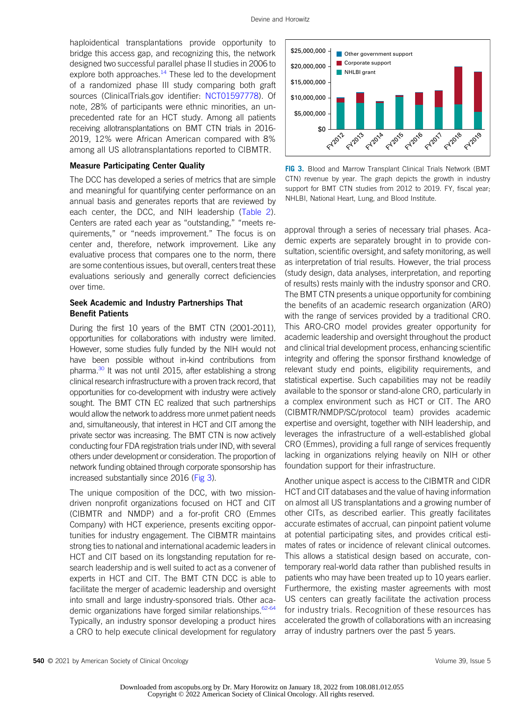haploidentical transplantations provide opportunity to bridge this access gap, and recognizing this, the network designed two successful parallel phase II studies in 2006 to explore both approaches. $14$  These led to the development of a randomized phase III study comparing both graft sources (ClinicalTrials.gov identifier: NCT01597778). Of note, 28% of participants were ethnic minorities, an unprecedented rate for an HCT study. Among all patients receiving allotransplantations on BMT CTN trials in 2016- 2019, 12% were African American compared with 8% among all US allotransplantations reported to CIBMTR.

#### Measure Participating Center Quality

The DCC has developed a series of metrics that are simple and meaningful for quantifying center performance on an annual basis and generates reports that are reviewed by each center, the DCC, and NIH leadership (Table 2). Centers are rated each year as "outstanding," "meets requirements," or "needs improvement." The focus is on center and, therefore, network improvement. Like any evaluative process that compares one to the norm, there are some contentious issues, but overall, centers treat these evaluations seriously and generally correct deficiencies over time.

# Seek Academic and Industry Partnerships That Benefit Patients

During the first 10 years of the BMT CTN (2001-2011), opportunities for collaborations with industry were limited. However, some studies fully funded by the NIH would not have been possible without in-kind contributions from pharma.<sup>30</sup> It was not until 2015, after establishing a strong clinical research infrastructure with a proven track record, that opportunities for co-development with industry were actively sought. The BMT CTN EC realized that such partnerships would allow the network to address more unmet patient needs and, simultaneously, that interest in HCT and CIT among the private sector was increasing. The BMT CTN is now actively conducting four FDA registration trials under IND, with several others under development or consideration. The proportion of network funding obtained through corporate sponsorship has increased substantially since 2016 (Fig 3).

The unique composition of the DCC, with two missiondriven nonprofit organizations focused on HCT and CIT (CIBMTR and NMDP) and a for-profit CRO (Emmes Company) with HCT experience, presents exciting opportunities for industry engagement. The CIBMTR maintains strong ties to national and international academic leaders in HCT and CIT based on its longstanding reputation for research leadership and is well suited to act as a convener of experts in HCT and CIT. The BMT CTN DCC is able to facilitate the merger of academic leadership and oversight into small and large industry-sponsored trials. Other academic organizations have forged similar relationships.<sup>62-64</sup> Typically, an industry sponsor developing a product hires a CRO to help execute clinical development for regulatory



FIG 3. Blood and Marrow Transplant Clinical Trials Network (BMT CTN) revenue by year. The graph depicts the growth in industry support for BMT CTN studies from 2012 to 2019. FY, fiscal year; NHLBI, National Heart, Lung, and Blood Institute.

approval through a series of necessary trial phases. Academic experts are separately brought in to provide consultation, scientific oversight, and safety monitoring, as well as interpretation of trial results. However, the trial process (study design, data analyses, interpretation, and reporting of results) rests mainly with the industry sponsor and CRO. The BMT CTN presents a unique opportunity for combining the benefits of an academic research organization (ARO) with the range of services provided by a traditional CRO. This ARO-CRO model provides greater opportunity for academic leadership and oversight throughout the product and clinical trial development process, enhancing scientific integrity and offering the sponsor firsthand knowledge of relevant study end points, eligibility requirements, and statistical expertise. Such capabilities may not be readily available to the sponsor or stand-alone CRO, particularly in a complex environment such as HCT or CIT. The ARO (CIBMTR/NMDP/SC/protocol team) provides academic expertise and oversight, together with NIH leadership, and leverages the infrastructure of a well-established global CRO (Emmes), providing a full range of services frequently lacking in organizations relying heavily on NIH or other foundation support for their infrastructure.

Another unique aspect is access to the CIBMTR and CIDR HCT and CIT databases and the value of having information on almost all US transplantations and a growing number of other CITs, as described earlier. This greatly facilitates accurate estimates of accrual, can pinpoint patient volume at potential participating sites, and provides critical estimates of rates or incidence of relevant clinical outcomes. This allows a statistical design based on accurate, contemporary real-world data rather than published results in patients who may have been treated up to 10 years earlier. Furthermore, the existing master agreements with most US centers can greatly facilitate the activation process for industry trials. Recognition of these resources has accelerated the growth of collaborations with an increasing array of industry partners over the past 5 years.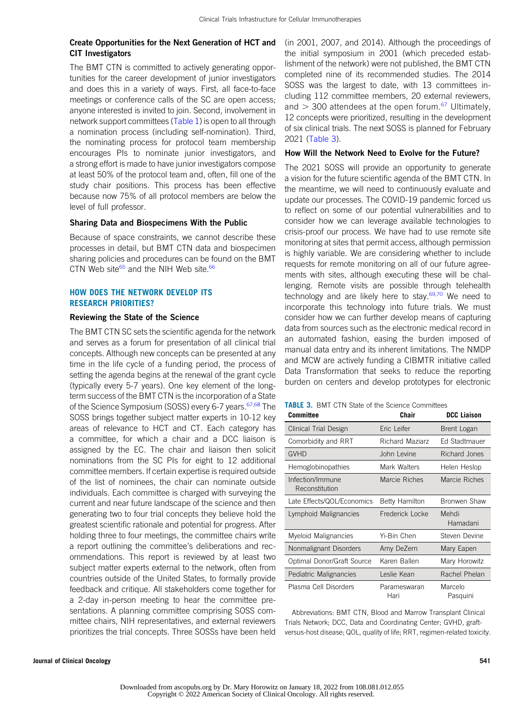# Create Opportunities for the Next Generation of HCT and CIT Investigators

The BMT CTN is committed to actively generating opportunities for the career development of junior investigators and does this in a variety of ways. First, all face-to-face meetings or conference calls of the SC are open access; anyone interested is invited to join. Second, involvement in network support committees (Table 1) is open to all through a nomination process (including self-nomination). Third, the nominating process for protocol team membership encourages PIs to nominate junior investigators, and a strong effort is made to have junior investigators compose at least 50% of the protocol team and, often, fill one of the study chair positions. This process has been effective because now 75% of all protocol members are below the level of full professor.

### Sharing Data and Biospecimens With the Public

Because of space constraints, we cannot describe these processes in detail, but BMT CTN data and biospecimen sharing policies and procedures can be found on the BMT CTN Web site<sup>65</sup> and the NIH Web site.<sup>66</sup>

# HOW DOES THE NETWORK DEVELOP ITS RESEARCH PRIORITIES?

### Reviewing the State of the Science

The BMT CTN SC sets the scientific agenda for the network and serves as a forum for presentation of all clinical trial concepts. Although new concepts can be presented at any time in the life cycle of a funding period, the process of setting the agenda begins at the renewal of the grant cycle (typically every 5-7 years). One key element of the longterm success of the BMT CTN is the incorporation of a State of the Science Symposium (SOSS) every 6-7 years.<sup>67,68</sup> The SOSS brings together subject matter experts in 10-12 key areas of relevance to HCT and CT. Each category has a committee, for which a chair and a DCC liaison is assigned by the EC. The chair and liaison then solicit nominations from the SC PIs for eight to 12 additional committee members. If certain expertise is required outside of the list of nominees, the chair can nominate outside individuals. Each committee is charged with surveying the current and near future landscape of the science and then generating two to four trial concepts they believe hold the greatest scientific rationale and potential for progress. After holding three to four meetings, the committee chairs write a report outlining the committee's deliberations and recommendations. This report is reviewed by at least two subject matter experts external to the network, often from countries outside of the United States, to formally provide feedback and critique. All stakeholders come together for a 2-day in-person meeting to hear the committee presentations. A planning committee comprising SOSS committee chairs, NIH representatives, and external reviewers prioritizes the trial concepts. Three SOSSs have been held

(in 2001, 2007, and 2014). Although the proceedings of the initial symposium in 2001 (which preceded establishment of the network) were not published, the BMT CTN completed nine of its recommended studies. The 2014 SOSS was the largest to date, with 13 committees including 112 committee members, 20 external reviewers, and  $>$  300 attendees at the open forum.<sup>67</sup> Ultimately, 12 concepts were prioritized, resulting in the development of six clinical trials. The next SOSS is planned for February 2021 (Table 3).

# How Will the Network Need to Evolve for the Future?

The 2021 SOSS will provide an opportunity to generate a vision for the future scientific agenda of the BMT CTN. In the meantime, we will need to continuously evaluate and update our processes. The COVID-19 pandemic forced us to reflect on some of our potential vulnerabilities and to consider how we can leverage available technologies to crisis-proof our process. We have had to use remote site monitoring at sites that permit access, although permission is highly variable. We are considering whether to include requests for remote monitoring on all of our future agreements with sites, although executing these will be challenging. Remote visits are possible through telehealth technology and are likely here to stay.<sup>69,70</sup> We need to incorporate this technology into future trials. We must consider how we can further develop means of capturing data from sources such as the electronic medical record in an automated fashion, easing the burden imposed of manual data entry and its inherent limitations. The NMDP and MCW are actively funding a CIBMTR initiative called Data Transformation that seeks to reduce the reporting burden on centers and develop prototypes for electronic

|  |  |  |  |  |  |  |  |  | <b>TABLE 3.</b> BMT CTN State of the Science Committees |
|--|--|--|--|--|--|--|--|--|---------------------------------------------------------|
|--|--|--|--|--|--|--|--|--|---------------------------------------------------------|

| <b>Committee</b>                   | Chair                 | <b>DCC Liaison</b>  |
|------------------------------------|-----------------------|---------------------|
| Clinical Trial Design              | Eric Leifer           | Brent Logan         |
| Comorbidity and RRT                | Richard Maziarz       | Ed Stadtmauer       |
| <b>GVHD</b>                        | John Levine           | Richard Jones       |
| Hemoglobinopathies                 | Mark Walters          | Helen Heslop        |
| Infection/Immune<br>Reconstitution | Marcie Riches         | Marcie Riches       |
| Late Effects/QOL/Economics         | <b>Betty Hamilton</b> | <b>Bronwen Shaw</b> |
| Lymphoid Malignancies              | Frederick Locke       | Mehdi<br>Hamadani   |
| Myeloid Malignancies               | Yi-Bin Chen           | Steven Devine       |
| Nonmalignant Disorders             | Amy DeZern            | Mary Eapen          |
| Optimal Donor/Graft Source         | Karen Ballen          | Mary Horowitz       |
| Pediatric Malignancies             | Leslie Kean           | Rachel Phelan       |
| Plasma Cell Disorders              | Parameswaran<br>Hari  | Marcelo<br>Pasquini |

Abbreviations: BMT CTN, Blood and Marrow Transplant Clinical Trials Network; DCC, Data and Coordinating Center; GVHD, graftversus-host disease; QOL, quality of life; RRT, regimen-related toxicity.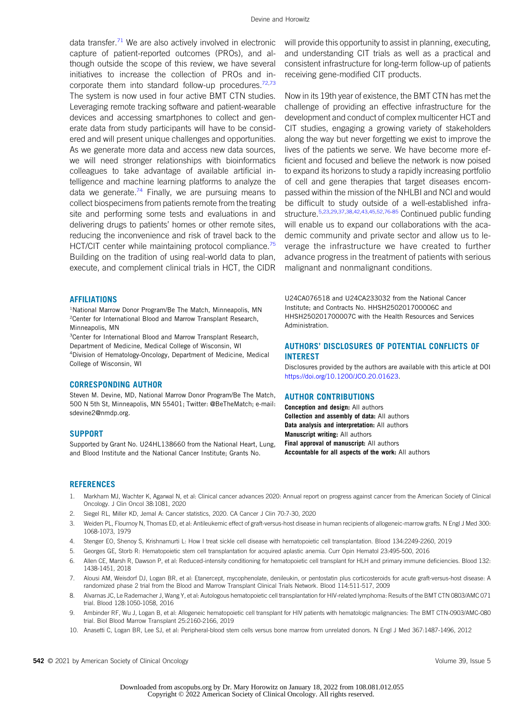data transfer.<sup>71</sup> We are also actively involved in electronic capture of patient-reported outcomes (PROs), and although outside the scope of this review, we have several initiatives to increase the collection of PROs and incorporate them into standard follow-up procedures.<sup>72,73</sup> The system is now used in four active BMT CTN studies. Leveraging remote tracking software and patient-wearable devices and accessing smartphones to collect and generate data from study participants will have to be considered and will present unique challenges and opportunities. As we generate more data and access new data sources, we will need stronger relationships with bioinformatics colleagues to take advantage of available artificial intelligence and machine learning platforms to analyze the data we generate. $74$  Finally, we are pursuing means to collect biospecimens from patients remote from the treating site and performing some tests and evaluations in and delivering drugs to patients' homes or other remote sites, reducing the inconvenience and risk of travel back to the HCT/CIT center while maintaining protocol compliance.<sup>75</sup> Building on the tradition of using real-world data to plan, execute, and complement clinical trials in HCT, the CIDR

#### AFFILIATIONS

<sup>1</sup>National Marrow Donor Program/Be The Match, Minneapolis, MN <sup>2</sup> Center for International Blood and Marrow Transplant Research, Minneapolis, MN

<sup>3</sup> Center for International Blood and Marrow Transplant Research, Department of Medicine, Medical College of Wisconsin, WI 4 Division of Hematology-Oncology, Department of Medicine, Medical College of Wisconsin, WI

#### CORRESPONDING AUTHOR

Steven M. Devine, MD, National Marrow Donor Program/Be The Match, 500 N 5th St, Minneapolis, MN 55401; Twitter: @BeTheMatch; e-mail: sdevine2@nmdp.org.

#### **SUPPORT**

Supported by Grant No. U24HL138660 from the National Heart, Lung, and Blood Institute and the National Cancer Institute; Grants No.

will provide this opportunity to assist in planning, executing, and understanding CIT trials as well as a practical and consistent infrastructure for long-term follow-up of patients receiving gene-modified CIT products.

Now in its 19th year of existence, the BMT CTN has met the challenge of providing an effective infrastructure for the development and conduct of complex multicenter HCT and CIT studies, engaging a growing variety of stakeholders along the way but never forgetting we exist to improve the lives of the patients we serve. We have become more efficient and focused and believe the network is now poised to expand its horizons to study a rapidly increasing portfolio of cell and gene therapies that target diseases encompassed within the mission of the NHLBI and NCI and would be difficult to study outside of a well-established infrastructure.5,23,29,37,38,42,43,45,52,76-85 Continued public funding will enable us to expand our collaborations with the academic community and private sector and allow us to leverage the infrastructure we have created to further advance progress in the treatment of patients with serious malignant and nonmalignant conditions.

U24CA076518 and U24CA233032 from the National Cancer Institute; and Contracts No. HHSH250201700006C and HHSH250201700007C with the Health Resources and Services Administration.

## AUTHORS' DISCLOSURES OF POTENTIAL CONFLICTS OF INTEREST

Disclosures provided by the authors are available with this article at DOI https://doi.org/10.1200/JCO.20.01623.

#### AUTHOR CONTRIBUTIONS

Conception and design: All authors Collection and assembly of data: All authors Data analysis and interpretation: All authors Manuscript writing: All authors Final approval of manuscript: All authors Accountable for all aspects of the work: All authors

#### **REFERENCES**

- 1. Markham MJ, Wachter K, Agarwal N, et al: Clinical cancer advances 2020: Annual report on progress against cancer from the American Society of Clinical Oncology. J Clin Oncol 38:1081, 2020
- 2. Siegel RL, Miller KD, Jemal A: Cancer statistics, 2020. CA Cancer J Clin 70:7-30, 2020
- 3. Weiden PL, Flournoy N, Thomas ED, et al: Antileukemic effect of graft-versus-host disease in human recipients of allogeneic-marrow grafts. N Engl J Med 300: 1068-1073, 1979
- 4. Stenger EO, Shenoy S, Krishnamurti L: How I treat sickle cell disease with hematopoietic cell transplantation. Blood 134:2249-2260, 2019
- 5. Georges GE, Storb R: Hematopoietic stem cell transplantation for acquired aplastic anemia. Curr Opin Hematol 23:495-500, 2016
- 6. Allen CE, Marsh R, Dawson P, et al: Reduced-intensity conditioning for hematopoietic cell transplant for HLH and primary immune deficiencies. Blood 132: 1438-1451, 2018
- 7. Alousi AM, Weisdorf DJ, Logan BR, et al: Etanercept, mycophenolate, denileukin, or pentostatin plus corticosteroids for acute graft-versus-host disease: A randomized phase 2 trial from the Blood and Marrow Transplant Clinical Trials Network. Blood 114:511-517, 2009
- 8. Alvarnas JC, Le Rademacher J, Wang Y, et al: Autologous hematopoietic cell transplantation for HIV-related lymphoma: Results of the BMT CTN 0803/AMC 071 trial. Blood 128:1050-1058, 2016
- 9. Ambinder RF, Wu J, Logan B, et al: Allogeneic hematopoietic cell transplant for HIV patients with hematologic malignancies: The BMT CTN-0903/AMC-080 trial. Biol Blood Marrow Transplant 25:2160-2166, 2019
- 10. Anasetti C, Logan BR, Lee SJ, et al: Peripheral-blood stem cells versus bone marrow from unrelated donors. N Engl J Med 367:1487-1496, 2012

542 © 2021 by American Society of Clinical Oncology Volume 39, Issue 5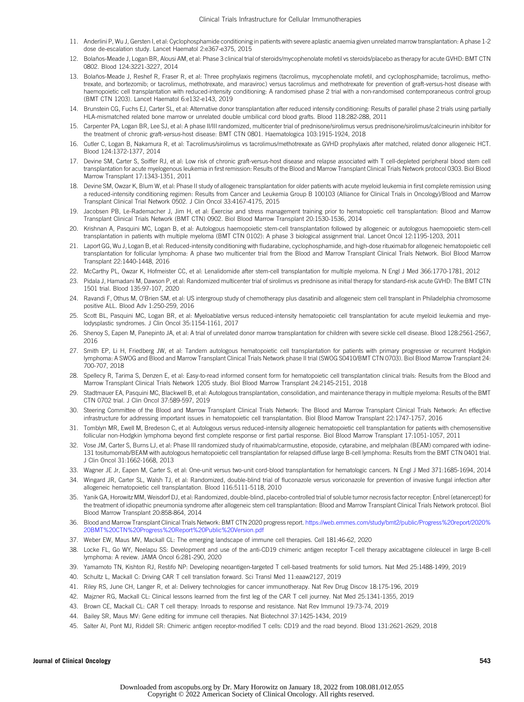- 11. Anderlini P, Wu J, Gersten I, et al: Cyclophosphamide conditioning in patients with severe aplastic anaemia given unrelated marrow transplantation: A phase 1-2 dose de-escalation study. Lancet Haematol 2:e367-e375, 2015
- 12. Bolaños-Meade J, Logan BR, Alousi AM, et al: Phase 3 clinical trial of steroids/mycophenolate mofetil vs steroids/placebo as therapy for acute GVHD: BMT CTN 0802. Blood 124:3221-3227, 2014
- 13. Bolaños-Meade J, Reshef R, Fraser R, et al: Three prophylaxis regimens (tacrolimus, mycophenolate mofetil, and cyclophosphamide; tacrolimus, methotrexate, and bortezomib; or tacrolimus, methotrexate, and maraviroc) versus tacrolimus and methotrexate for prevention of graft-versus-host disease with haemopoietic cell transplantation with reduced-intensity conditioning: A randomised phase 2 trial with a non-randomised contemporaneous control group (BMT CTN 1203). Lancet Haematol 6:e132-e143, 2019
- 14. Brunstein CG, Fuchs EJ, Carter SL, et al: Alternative donor transplantation after reduced intensity conditioning: Results of parallel phase 2 trials using partially HLA-mismatched related bone marrow or unrelated double umbilical cord blood grafts. Blood 118:282-288, 2011
- 15. Carpenter PA, Logan BR, Lee SJ, et al: A phase II/III randomized, multicenter trial of prednisone/sirolimus versus prednisone/sirolimus/calcineurin inhibitor for the treatment of chronic graft-versus-host disease: BMT CTN 0801. Haematologica 103:1915-1924, 2018
- 16. Cutler C, Logan B, Nakamura R, et al: Tacrolimus/sirolimus vs tacrolimus/methotrexate as GVHD prophylaxis after matched, related donor allogeneic HCT. Blood 124:1372-1377, 2014
- 17. Devine SM, Carter S, Soiffer RJ, et al: Low risk of chronic graft-versus-host disease and relapse associated with T cell-depleted peripheral blood stem cell transplantation for acute myelogenous leukemia in first remission: Results of the Blood and Marrow Transplant Clinical Trials Network protocol 0303. Biol Blood Marrow Transplant 17:1343-1351, 2011
- 18. Devine SM, Owzar K, Blum W, et al: Phase II study of allogeneic transplantation for older patients with acute myeloid leukemia in first complete remission using a reduced-intensity conditioning regimen: Results from Cancer and Leukemia Group B 100103 (Alliance for Clinical Trials in Oncology)/Blood and Marrow Transplant Clinical Trial Network 0502. J Clin Oncol 33:4167-4175, 2015
- 19. Jacobsen PB, Le-Rademacher J, Jim H, et al: Exercise and stress management training prior to hematopoietic cell transplantation: Blood and Marrow Transplant Clinical Trials Network (BMT CTN) 0902. Biol Blood Marrow Transplant 20:1530-1536, 2014
- 20. Krishnan A, Pasquini MC, Logan B, et al: Autologous haemopoietic stem-cell transplantation followed by allogeneic or autologous haemopoietic stem-cell transplantation in patients with multiple myeloma (BMT CTN 0102): A phase 3 biological assignment trial. Lancet Oncol 12:1195-1203, 2011
- 21. Laport GG, Wu J, Logan B, et al: Reduced-intensity conditioning with fludarabine, cyclophosphamide, and high-dose rituximab for allogeneic hematopoietic cell transplantation for follicular lymphoma: A phase two multicenter trial from the Blood and Marrow Transplant Clinical Trials Network. Biol Blood Marrow Transplant 22:1440-1448, 2016
- 22. McCarthy PL, Owzar K, Hofmeister CC, et al: Lenalidomide after stem-cell transplantation for multiple myeloma. N Engl J Med 366:1770-1781, 2012
- 23. Pidala J, Hamadani M, Dawson P, et al: Randomized multicenter trial of sirolimus vs prednisone as initial therapy for standard-risk acute GVHD: The BMT CTN 1501 trial. Blood 135:97-107, 2020
- 24. Ravandi F, Othus M, O'Brien SM, et al: US intergroup study of chemotherapy plus dasatinib and allogeneic stem cell transplant in Philadelphia chromosome positive ALL. Blood Adv 1:250-259, 2016
- 25. Scott BL, Pasquini MC, Logan BR, et al: Myeloablative versus reduced-intensity hematopoietic cell transplantation for acute myeloid leukemia and myelodysplastic syndromes. J Clin Oncol 35:1154-1161, 2017
- 26. Shenoy S, Eapen M, Panepinto JA, et al: A trial of unrelated donor marrow transplantation for children with severe sickle cell disease. Blood 128:2561-2567, 2016
- 27. Smith EP, Li H, Friedberg JW, et al: Tandem autologous hematopoietic cell transplantation for patients with primary progressive or recurrent Hodgkin lymphoma: A SWOG and Blood and Marrow Transplant Clinical Trials Network phase II trial (SWOG S0410/BMT CTN 0703). Biol Blood Marrow Transplant 24: 700-707, 2018
- 28. Spellecy R, Tarima S, Denzen E, et al: Easy-to-read informed consent form for hematopoietic cell transplantation clinical trials: Results from the Blood and Marrow Transplant Clinical Trials Network 1205 study. Biol Blood Marrow Transplant 24:2145-2151, 2018
- 29. Stadtmauer EA, Pasquini MC, Blackwell B, et al: Autologous transplantation, consolidation, and maintenance therapy in multiple myeloma: Results of the BMT CTN 0702 trial. J Clin Oncol 37:589-597, 2019
- 30. Steering Committee of the Blood and Marrow Transplant Clinical Trials Network: The Blood and Marrow Transplant Clinical Trials Network: An effective infrastructure for addressing important issues in hematopoietic cell transplantation. Biol Blood Marrow Transplant 22:1747-1757, 2016
- 31. Tomblyn MR, Ewell M, Bredeson C, et al: Autologous versus reduced-intensity allogeneic hematopoietic cell transplantation for patients with chemosensitive follicular non-Hodgkin lymphoma beyond first complete response or first partial response. Biol Blood Marrow Transplant 17:1051-1057, 2011
- 32. Vose JM, Carter S, Burns LJ, et al: Phase III randomized study of rituximab/carmustine, etoposide, cytarabine, and melphalan (BEAM) compared with iodine-131 tositumomab/BEAM with autologous hematopoietic cell transplantation for relapsed diffuse large B-cell lymphoma: Results from the BMT CTN 0401 trial. J Clin Oncol 31:1662-1668, 2013
- 33. Wagner JE Jr, Eapen M, Carter S, et al: One-unit versus two-unit cord-blood transplantation for hematologic cancers. N Engl J Med 371:1685-1694, 2014
- 34. Wingard JR, Carter SL, Walsh TJ, et al: Randomized, double-blind trial of fluconazole versus voriconazole for prevention of invasive fungal infection after allogeneic hematopoietic cell transplantation. Blood 116:5111-5118, 2010
- 35. Yanik GA, Horowitz MM, Weisdorf DJ, et al: Randomized, double-blind, placebo-controlled trial of soluble tumor necrosis factor receptor: Enbrel (etanercept) for the treatment of idiopathic pneumonia syndrome after allogeneic stem cell transplantation: Blood and Marrow Transplant Clinical Trials Network protocol. Biol Blood Marrow Transplant 20:858-864, 2014
- 36. Blood and Marrow Transplant Clinical Trials Network: BMT CTN 2020 progress report. https://web.emmes.com/study/bmt2/public/Progress%20report/2020% 20BMT%20CTN%20Progress%20Report%20Public%20Version.pdf
- 37. Weber EW, Maus MV, Mackall CL: The emerging landscape of immune cell therapies. Cell 181:46-62, 2020
- 38. Locke FL, Go WY, Neelapu SS: Development and use of the anti-CD19 chimeric antigen receptor T-cell therapy axicabtagene ciloleucel in large B-cell lymphoma: A review. JAMA Oncol 6:281-290, 2020
- 39. Yamamoto TN, Kishton RJ, Restifo NP: Developing neoantigen-targeted T cell-based treatments for solid tumors. Nat Med 25:1488-1499, 2019
- 40. Schultz L, Mackall C: Driving CAR T cell translation forward. Sci Transl Med 11:eaaw2127, 2019
- 41. Riley RS, June CH, Langer R, et al: Delivery technologies for cancer immunotherapy. Nat Rev Drug Discov 18:175-196, 2019
- 42. Majzner RG, Mackall CL: Clinical lessons learned from the first leg of the CAR T cell journey. Nat Med 25:1341-1355, 2019
- 43. Brown CE, Mackall CL: CAR T cell therapy: Inroads to response and resistance. Nat Rev Immunol 19:73-74, 2019
- 44. Bailey SR, Maus MV: Gene editing for immune cell therapies. Nat Biotechnol 37:1425-1434, 2019
- 45. Salter AI, Pont MJ, Riddell SR: Chimeric antigen receptor-modified T cells: CD19 and the road beyond. Blood 131:2621-2629, 2018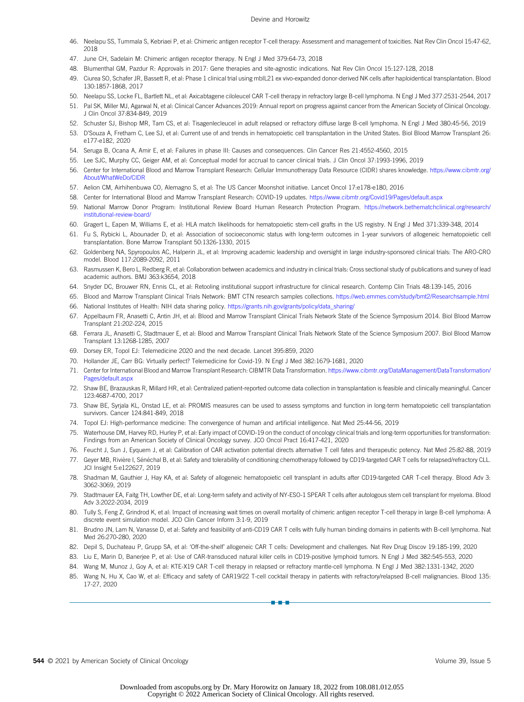- 46. Neelapu SS, Tummala S, Kebriaei P, et al: Chimeric antigen receptor T-cell therapy: Assessment and management of toxicities. Nat Rev Clin Oncol 15:47-62, 2018
- 47. June CH, Sadelain M: Chimeric antigen receptor therapy. N Engl J Med 379:64-73, 2018
- 48. Blumenthal GM, Pazdur R: Approvals in 2017: Gene therapies and site-agnostic indications. Nat Rev Clin Oncol 15:127-128, 2018
- 49. Ciurea SO, Schafer JR, Bassett R, et al: Phase 1 clinical trial using mbIL21 ex vivo-expanded donor-derived NK cells after haploidentical transplantation. Blood 130:1857-1868, 2017
- 50. Neelapu SS, Locke FL, Bartlett NL, et al: Axicabtagene ciloleucel CAR T-cell therapy in refractory large B-cell lymphoma. N Engl J Med 377:2531-2544, 2017
- 51. Pal SK, Miller MJ, Agarwal N, et al: Clinical Cancer Advances 2019: Annual report on progress against cancer from the American Society of Clinical Oncology. J Clin Oncol 37:834-849, 2019
- 52. Schuster SJ, Bishop MR, Tam CS, et al: Tisagenlecleucel in adult relapsed or refractory diffuse large B-cell lymphoma. N Engl J Med 380:45-56, 2019
- 53. D'Souza A, Fretham C, Lee SJ, et al: Current use of and trends in hematopoietic cell transplantation in the United States. Biol Blood Marrow Transplant 26: e177-e182, 2020
- 54. Seruga B, Ocana A, Amir E, et al: Failures in phase III: Causes and consequences. Clin Cancer Res 21:4552-4560, 2015
- 55. Lee SJC, Murphy CC, Geiger AM, et al: Conceptual model for accrual to cancer clinical trials. J Clin Oncol 37:1993-1996, 2019
- 56. Center for International Blood and Marrow Transplant Research: Cellular Immunotherapy Data Resource (CIDR) shares knowledge. https://www.cibmtr.org/ About/WhatWeDo/CIDR
- 57. Aelion CM, Airhihenbuwa CO, Alemagno S, et al: The US Cancer Moonshot initiative. Lancet Oncol 17:e178-e180, 2016
- 58. Center for International Blood and Marrow Transplant Research: COVID-19 updates. https://www.cibmtr.org/Covid19/Pages/default.aspx
- 59. National Marrow Donor Program: Institutional Review Board Human Research Protection Program. https://network.bethematchclinical.org/research/ institutional-review-board/
- 60. Gragert L, Eapen M, Williams E, et al: HLA match likelihoods for hematopoietic stem-cell grafts in the US registry. N Engl J Med 371:339-348, 2014
- 61. Fu S, Rybicki L, Abounader D, et al: Association of socioeconomic status with long-term outcomes in 1-year survivors of allogeneic hematopoietic cell transplantation. Bone Marrow Transplant 50:1326-1330, 2015
- 62. Goldenberg NA, Spyropoulos AC, Halperin JL, et al: Improving academic leadership and oversight in large industry-sponsored clinical trials: The ARO-CRO model. Blood 117:2089-2092, 2011
- 63. Rasmussen K, Bero L, Redberg R, et al: Collaboration between academics and industry in clinical trials: Cross sectional study of publications and survey of lead academic authors. BMJ 363:k3654, 2018
- 64. Snyder DC, Brouwer RN, Ennis CL, et al: Retooling institutional support infrastructure for clinical research. Contemp Clin Trials 48:139-145, 2016
- 65. Blood and Marrow Transplant Clinical Trials Network: BMT CTN research samples collections. https://web.emmes.com/study/bmt2/Researchsample.html
- 66. National Institutes of Health: NIH data sharing policy. https://grants.nih.gov/grants/policy/data\_sharing/
- 67. Appelbaum FR, Anasetti C, Antin JH, et al: Blood and Marrow Transplant Clinical Trials Network State of the Science Symposium 2014. Biol Blood Marrow Transplant 21:202-224, 2015
- 68. Ferrara JL, Anasetti C, Stadtmauer E, et al: Blood and Marrow Transplant Clinical Trials Network State of the Science Symposium 2007. Biol Blood Marrow Transplant 13:1268-1285, 2007
- 69. Dorsey ER, Topol EJ: Telemedicine 2020 and the next decade. Lancet 395:859, 2020
- 70. Hollander JE, Carr BG: Virtually perfect? Telemedicine for Covid-19. N Engl J Med 382:1679-1681, 2020
- 71. Center for International Blood and Marrow Transplant Research: CIBMTR Data Transformation. https://www.cibmtr.org/DataManagement/DataTransformation/ Pages/default.asp;
- 72. Shaw BE, Brazauskas R, Millard HR, et al: Centralized patient-reported outcome data collection in transplantation is feasible and clinically meaningful. Cancer 123:4687-4700, 2017
- 73. Shaw BE, Syrjala KL, Onstad LE, et al: PROMIS measures can be used to assess symptoms and function in long-term hematopoietic cell transplantation survivors. Cancer 124:841-849, 2018
- 74. Topol EJ: High-performance medicine: The convergence of human and artificial intelligence. Nat Med 25:44-56, 2019
- 75. Waterhouse DM, Harvey RD, Hurley P, et al: Early impact of COVID-19 on the conduct of oncology clinical trials and long-term opportunities for transformation: Findings from an American Society of Clinical Oncology survey. JCO Oncol Pract 16:417-421, 2020
- 76. Feucht J, Sun J, Eyquem J, et al: Calibration of CAR activation potential directs alternative T cell fates and therapeutic potency. Nat Med 25:82-88, 2019
- 77. Geyer MB, Rivière I, Sénéchal B, et al: Safety and tolerability of conditioning chemotherapy followed by CD19-targeted CAR T cells for relapsed/refractory CLL. JCI Insight 5:e122627, 2019
- 78. Shadman M, Gauthier J, Hay KA, et al: Safety of allogeneic hematopoietic cell transplant in adults after CD19-targeted CAR T-cell therapy. Blood Adv 3: 3062-3069, 2019
- 79. Stadtmauer EA, Faitg TH, Lowther DE, et al: Long-term safety and activity of NY-ESO-1 SPEAR T cells after autologous stem cell transplant for myeloma. Blood Adv 3:2022-2034, 2019
- 80. Tully S, Feng Z, Grindrod K, et al: Impact of increasing wait times on overall mortality of chimeric antigen receptor T-cell therapy in large B-cell lymphoma: A discrete event simulation model. JCO Clin Cancer Inform 3:1-9, 2019
- 81. Brudno JN, Lam N, Vanasse D, et al: Safety and feasibility of anti-CD19 CAR T cells with fully human binding domains in patients with B-cell lymphoma. Nat Med 26:270-280, 2020
- 82. Depil S, Duchateau P, Grupp SA, et al: 'Off-the-shelf' allogeneic CAR T cells: Development and challenges. Nat Rev Drug Discov 19:185-199, 2020
- 83. Liu E, Marin D, Banerjee P, et al: Use of CAR-transduced natural killer cells in CD19-positive lymphoid tumors. N Engl J Med 382:545-553, 2020
- 84. Wang M, Munoz J, Goy A, et al: KTE-X19 CAR T-cell therapy in relapsed or refractory mantle-cell lymphoma. N Engl J Med 382:1331-1342, 2020
- 85. Wang N, Hu X, Cao W, et al: Efficacy and safety of CAR19/22 T-cell cocktail therapy in patients with refractory/relapsed B-cell malignancies. Blood 135: 17-27, 2020

nn - 1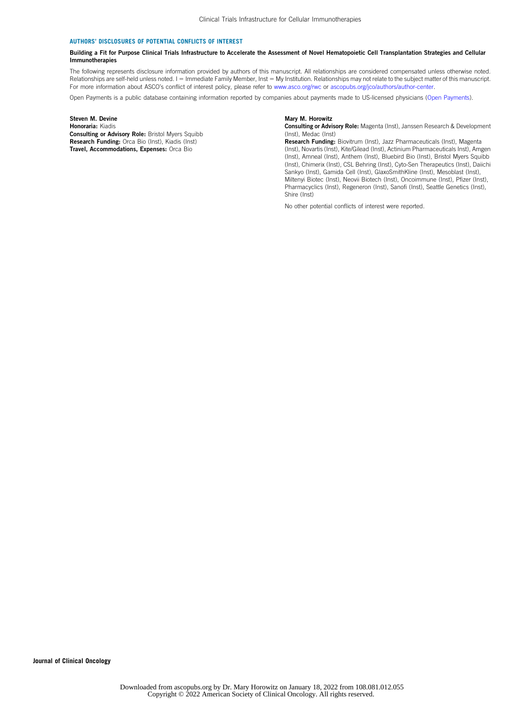#### AUTHORS' DISCLOSURES OF POTENTIAL CONFLICTS OF INTEREST

#### Building a Fit for Purpose Clinical Trials Infrastructure to Accelerate the Assessment of Novel Hematopoietic Cell Transplantation Strategies and Cellular Immunotherapies

The following represents disclosure information provided by authors of this manuscript. All relationships are considered compensated unless otherwise noted. Relationships are self-held unless noted. I = Immediate Family Member, Inst = My Institution. Relationships may not relate to the subject matter of this manuscript. For more information about ASCO's conflict of interest policy, please refer to www.asco.org/rwc or ascopubs.org/jco/authors/author-center.

Open Payments is a public database containing information reported by companies about payments made to US-licensed physicians (Open Payments).

Steven M. Devine Honoraria: Kiadis Consulting or Advisory Role: Bristol Myers Squibb Research Funding: Orca Bio (Inst), Kiadis (Inst) Travel, Accommodations, Expenses: Orca Bio

#### Mary M. Horowitz

Consulting or Advisory Role: Magenta (Inst), Janssen Research & Development (Inst), Medac (Inst)

Research Funding: Biovitrum (Inst), Jazz Pharmaceuticals (Inst), Magenta (Inst), Novartis (Inst), Kite/Gilead (Inst), Actinium Pharmaceuticals Inst), Amgen (Inst), Amneal (Inst), Anthem (Inst), Bluebird Bio (Inst), Bristol Myers Squibb (Inst), Chimerix (Inst), CSL Behring (Inst), Cyto-Sen Therapeutics (Inst), Daiichi Sankyo (Inst), Gamida Cell (Inst), GlaxoSmithKline (Inst), Mesoblast (Inst), Miltenyi Biotec (Inst), Neovii Biotech (Inst), Oncoimmune (Inst), Pfizer (Inst), Pharmacyclics (Inst), Regeneron (Inst), Sanofi (Inst), Seattle Genetics (Inst), Shire (Inst)

No other potential conflicts of interest were reported.